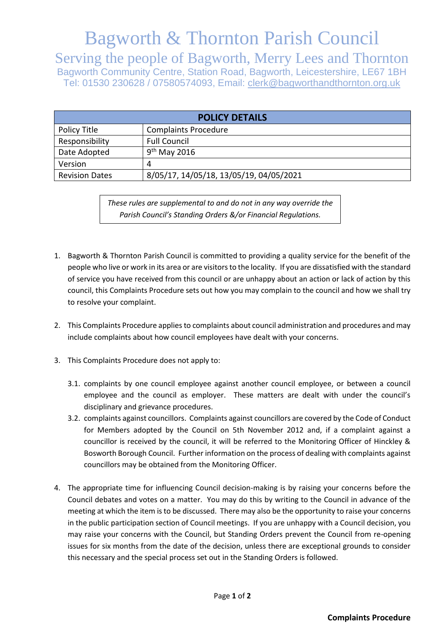## Bagworth & Thornton Parish Council

Serving the people of Bagworth, Merry Lees and Thornton Bagworth Community Centre, Station Road, Bagworth, Leicestershire, LE67 1BH Tel: 01530 230628 / 07580574093, Email: clerk@bagworthandthornton.org.uk

| <b>POLICY DETAILS</b> |                                         |
|-----------------------|-----------------------------------------|
| Policy Title          | <b>Complaints Procedure</b>             |
| Responsibility        | <b>Full Council</b>                     |
| Date Adopted          | $9th$ May 2016                          |
| Version               |                                         |
| <b>Revision Dates</b> | 8/05/17, 14/05/18, 13/05/19, 04/05/2021 |

*These rules are supplemental to and do not in any way override the Parish Council's Standing Orders &/or Financial Regulations.*

- 1. Bagworth & Thornton Parish Council is committed to providing a quality service for the benefit of the people who live or work in its area or are visitors to the locality. If you are dissatisfied with the standard of service you have received from this council or are unhappy about an action or lack of action by this council, this Complaints Procedure sets out how you may complain to the council and how we shall try to resolve your complaint.
- 2. This Complaints Procedure applies to complaints about council administration and procedures and may include complaints about how council employees have dealt with your concerns.
- 3. This Complaints Procedure does not apply to:
	- 3.1. complaints by one council employee against another council employee, or between a council employee and the council as employer. These matters are dealt with under the council's disciplinary and grievance procedures.
	- 3.2. complaints against councillors. Complaints against councillors are covered by the Code of Conduct for Members adopted by the Council on 5th November 2012 and, if a complaint against a councillor is received by the council, it will be referred to the Monitoring Officer of Hinckley & Bosworth Borough Council. Further information on the process of dealing with complaints against councillors may be obtained from the Monitoring Officer.
- 4. The appropriate time for influencing Council decision-making is by raising your concerns before the Council debates and votes on a matter. You may do this by writing to the Council in advance of the meeting at which the item is to be discussed. There may also be the opportunity to raise your concerns in the public participation section of Council meetings. If you are unhappy with a Council decision, you may raise your concerns with the Council, but Standing Orders prevent the Council from re-opening issues for six months from the date of the decision, unless there are exceptional grounds to consider this necessary and the special process set out in the Standing Orders is followed.